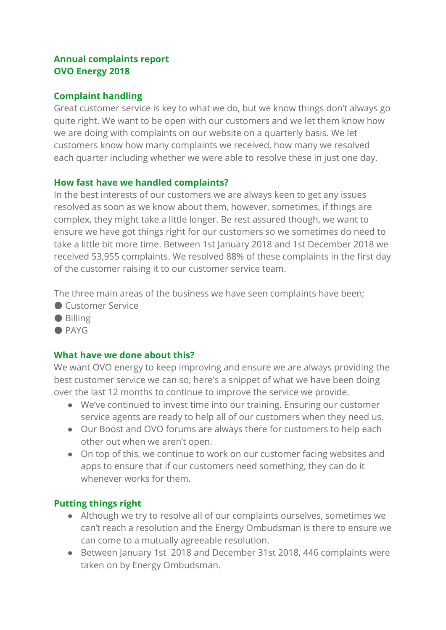# **Annual complaints report OVO Energy 2018**

## **Complaint handling**

Great customer service is key to what we do, but we know things don't always go quite right. We want to be open with our customers and we let them know how we are doing with complaints on our website on a quarterly basis. We let customers know how many complaints we received, how many we resolved each quarter including whether we were able to resolve these in just one day.

### **How fast have we handled complaints?**

In the best interests of our customers we are always keen to get any issues resolved as soon as we know about them, however, sometimes, if things are complex, they might take a little longer. Be rest assured though, we want to ensure we have got things right for our customers so we sometimes do need to take a little bit more time. Between 1st January 2018 and 1st December 2018 we received 53,955 complaints. We resolved 88% of these complaints in the first day of the customer raising it to our customer service team.

The three main areas of the business we have seen complaints have been;

- Customer Service
- Billing
- $\bullet$  PAYG

## **What have we done about this?**

We want OVO energy to keep improving and ensure we are always providing the best customer service we can so, here's a snippet of what we have been doing over the last 12 months to continue to improve the service we provide.

- We've continued to invest time into our training. Ensuring our customer service agents are ready to help all of our customers when they need us.
- Our Boost and OVO forums are always there for customers to help each other out when we aren't open.
- On top of this, we continue to work on our customer facing websites and apps to ensure that if our customers need something, they can do it whenever works for them.

## **Putting things right**

- Although we try to resolve all of our complaints ourselves, sometimes we can't reach a resolution and the Energy Ombudsman is there to ensure we can come to a mutually agreeable resolution.
- Between January 1st 2018 and December 31st 2018, 446 complaints were taken on by Energy Ombudsman.